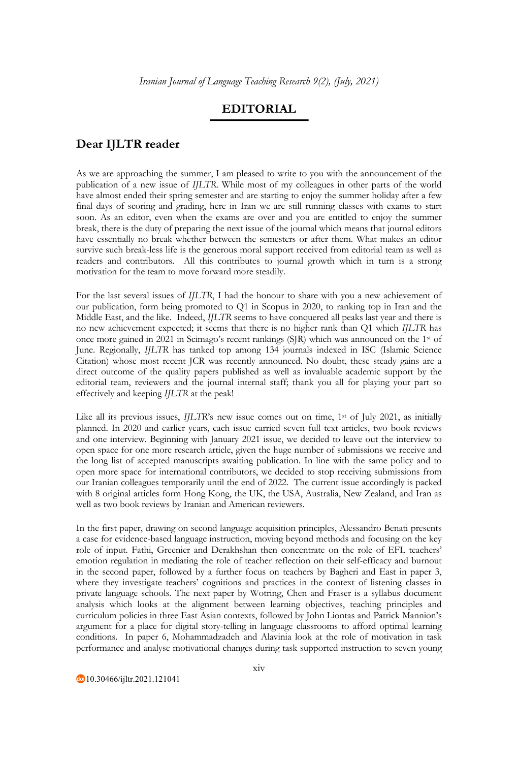## **EDITORIAL**

## **Dear IJLTR reader**

As we are approaching the summer, I am pleased to write to you with the announcement of the publication of a new issue of *IJLTR*. While most of my colleagues in other parts of the world have almost ended their spring semester and are starting to enjoy the summer holiday after a few final days of scoring and grading, here in Iran we are still running classes with exams to start soon. As an editor, even when the exams are over and you are entitled to enjoy the summer break, there is the duty of preparing the next issue of the journal which means that journal editors have essentially no break whether between the semesters or after them. What makes an editor survive such break-less life is the generous moral support received from editorial team as well as readers and contributors. All this contributes to journal growth which in turn is a strong motivation for the team to move forward more steadily.

For the last several issues of *IJLTR*, I had the honour to share with you a new achievement of our publication, form being promoted to Q1 in Scopus in 2020, to ranking top in Iran and the Middle East, and the like. Indeed, *IJLTR* seems to have conquered all peaks last year and there is no new achievement expected; it seems that there is no higher rank than Q1 which *IJLTR* has once more gained in 2021 in Scimago's recent rankings (SJR) which was announced on the 1st of June. Regionally, *IJLTR* has tanked top among 134 journals indexed in ISC (Islamic Science Citation) whose most recent JCR was recently announced. No doubt, these steady gains are a direct outcome of the quality papers published as well as invaluable academic support by the editorial team, reviewers and the journal internal staff; thank you all for playing your part so effectively and keeping *IJLTR* at the peak!

Like all its previous issues, *IJLTR*'s new issue comes out on time, 1<sup>st</sup> of July 2021, as initially planned. In 2020 and earlier years, each issue carried seven full text articles, two book reviews and one interview. Beginning with January 2021 issue, we decided to leave out the interview to open space for one more research article, given the huge number of submissions we receive and the long list of accepted manuscripts awaiting publication. In line with the same policy and to open more space for international contributors, we decided to stop receiving submissions from our Iranian colleagues temporarily until the end of 2022. The current issue accordingly is packed with 8 original articles form Hong Kong, the UK, the USA, Australia, New Zealand, and Iran as well as two book reviews by Iranian and American reviewers.

In the first paper, drawing on second language acquisition principles, Alessandro Benati presents a case for evidence-based language instruction, moving beyond methods and focusing on the key role of input. Fathi, Greenier and Derakhshan then concentrate on the role of EFL teachers' emotion regulation in mediating the role of teacher reflection on their self-efficacy and burnout in the second paper, followed by a further focus on teachers by Bagheri and East in paper 3, where they investigate teachers' cognitions and practices in the context of listening classes in private language schools. The next paper by Wotring, Chen and Fraser is a syllabus document analysis which looks at the alignment between learning objectives, teaching principles and curriculum policies in three East Asian contexts, followed by John Liontas and Patrick Mannion's argument for a place for digital story-telling in language classrooms to afford optimal learning conditions. In paper 6, Mohammadzadeh and Alavinia look at the role of motivation in task performance and analyse motivational changes during task supported instruction to seven young

10.30466/ijltr.2021.121041